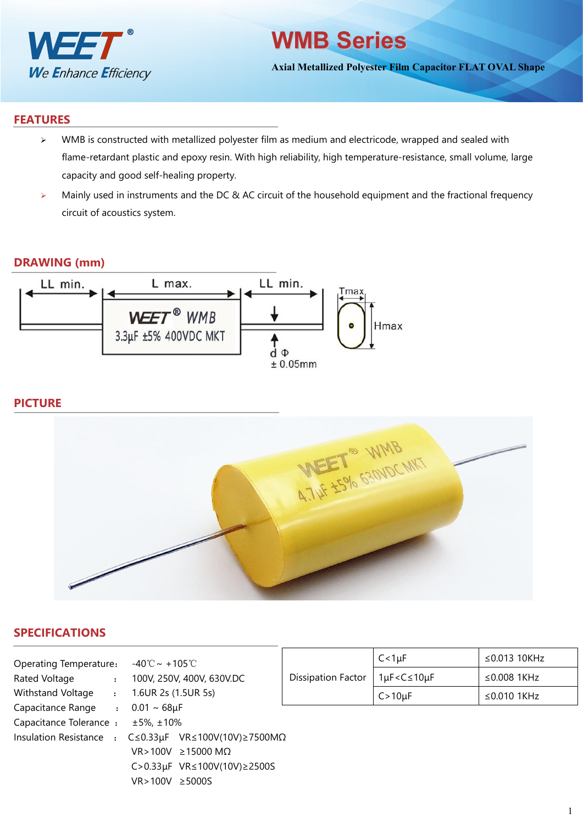

## **WMB Series**

**Axial Metallized Polyester Film Capacitor FLAT OVAL Shape**

### **FEATURES**

- $\triangleright$  WMB is constructed with metallized polyester film as medium and electricode, wrapped and sealed with flame-retardant plastic and epoxy resin. With high reliability, high temperature-resistance, small volume, large capacity and good self-healing property.
- > Mainly used in instruments and the DC & AC circuit of the household equipment and the fractional frequency circuit of acoustics system.

#### **DRAWING (mm)**



## **PICTURE**



## **SPECIFICATIONS**

| Operating Temperature:            | -40℃~+105℃                                             |                    | $C < 1 \mu F$                                     | $\leq$ 0.013 10KHz |  |  |  |
|-----------------------------------|--------------------------------------------------------|--------------------|---------------------------------------------------|--------------------|--|--|--|
| Rated Voltage<br>$\cdot$          | 100V, 250V, 400V, 630V.DC                              | Dissipation Factor | $1\mu$ F <c<math>\leq10<math>\mu</math>F</c<math> | ≤0.008 1KHz        |  |  |  |
| Withstand Voltage                 | 1.6UR 2s (1.5UR 5s)                                    |                    | $C > 10 \mu F$                                    | $\leq$ 0.010 1KHz  |  |  |  |
| Capacitance Range<br>$\mathbf{r}$ | $0.01 \sim 68 \mu F$                                   |                    |                                                   |                    |  |  |  |
| Capacitance Tolerance:            | ±5%, ±10%                                              |                    |                                                   |                    |  |  |  |
| Insulation Resistance :           | $C \le 0.33 \mu F$ VR $\le 100V(10V) \ge 7500 M\Omega$ |                    |                                                   |                    |  |  |  |
|                                   | $VR > 100V \ge 15000 M\Omega$                          |                    |                                                   |                    |  |  |  |
|                                   | C>0.33µF VR≤100V(10V)≥2500S                            |                    |                                                   |                    |  |  |  |
|                                   | $VR > 100V \ge 5000S$                                  |                    |                                                   |                    |  |  |  |